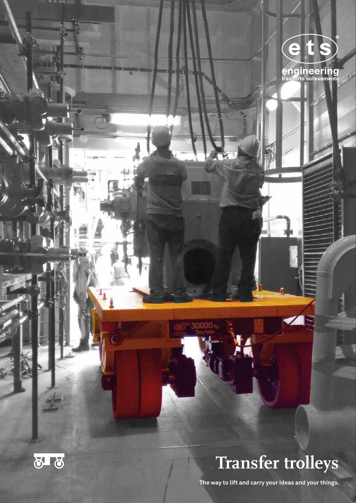

٣ū

6T

m. h.



Ìé

 **The way to lift and carry your ideas and your things.**



 $-31$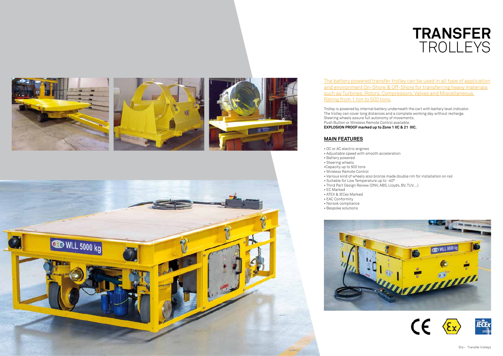## **TRANSFER** TROLLEYS









The battery powered transfer trolley can be used in all type of application and environment On-Shore & Off-Shore for transferring heavy materials such as Turbines, Rotors, Compressors, Valves and Miscellaneous. Rating from 1 ton to 500 tons.

Trolley is powered by internal battery underneath the cart with battery level indicator. The trolley can cover long distances and a complete working day without recharge. Steering wheels assure full autonomy of movements. Push Button or Wireless Remote Control available. **EXPLOSION PROOF marked up to Zone 1 IIC & 21 IIIC.**

## **MAIN FEATURES**

- DC or AC electric engines
- Adjustable speed with smooth acceleration
- Battery powered • Steering wheels
- Capacity up to 500 tons
- Wireless Remote Control
- 
- Suitable for Low Temperature up to -40°
- 
- 
- EC Marked
- ATEX & IECex Marked
- EAC Conformity
- Norsok compliance • Bespoke solutions



• Various kind of wheels also bronze made double rim for installation on rail • Third Part Design Review (DNV, ABS, Lloyds, BV, TUV….)